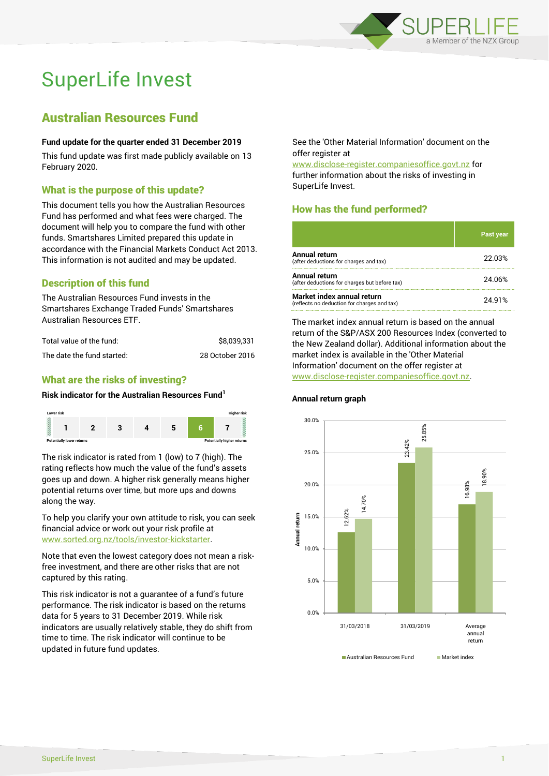

# SuperLife Invest

# Australian Resources Fund

#### **Fund update for the quarter ended 31 December 2019**

This fund update was first made publicly available on 13 February 2020.

### What is the purpose of this update?

This document tells you how the Australian Resources Fund has performed and what fees were charged. The document will help you to compare the fund with other funds. Smartshares Limited prepared this update in accordance with the Financial Markets Conduct Act 2013. This information is not audited and may be updated.

# Description of this fund

The Australian Resources Fund invests in the Smartshares Exchange Traded Funds' Smartshares Australian Resources ETF.

| Total value of the fund:   | \$8.039.331     |
|----------------------------|-----------------|
| The date the fund started: | 28 October 2016 |

## What are the risks of investing?

#### **Risk indicator for the Australian Resources Fund<sup>1</sup>**



The risk indicator is rated from 1 (low) to 7 (high). The rating reflects how much the value of the fund's assets goes up and down. A higher risk generally means higher potential returns over time, but more ups and downs along the way.

To help you clarify your own attitude to risk, you can seek financial advice or work out your risk profile at [www.sorted.org.nz/tools/investor-kickstarter.](http://www.sorted.org.nz/tools/investor-kickstarter)

Note that even the lowest category does not mean a riskfree investment, and there are other risks that are not captured by this rating.

This risk indicator is not a guarantee of a fund's future performance. The risk indicator is based on the returns data for 5 years to 31 December 2019. While risk indicators are usually relatively stable, they do shift from time to time. The risk indicator will continue to be updated in future fund updates.

See the 'Other Material Information' document on the offer register at

www.disclose-register.companiesoffice.govt.nz for further information about the risks of investing in SuperLife Invest.

# How has the fund performed?

|                                                                           | <b>Past year</b> |
|---------------------------------------------------------------------------|------------------|
| Annual return<br>(after deductions for charges and tax)                   | 22.03%           |
| Annual return<br>(after deductions for charges but before tax)            | 24.06%           |
| Market index annual return<br>(reflects no deduction for charges and tax) | 24.91%           |

The market index annual return is based on the annual return of the S&P/ASX 200 Resources Index (converted to the New Zealand dollar). Additional information about the market index is available in the 'Other Material Information' document on the offer register at www.disclose-register.companiesoffice.govt.nz.

# **Annual return graph**



SuperLife Invest 1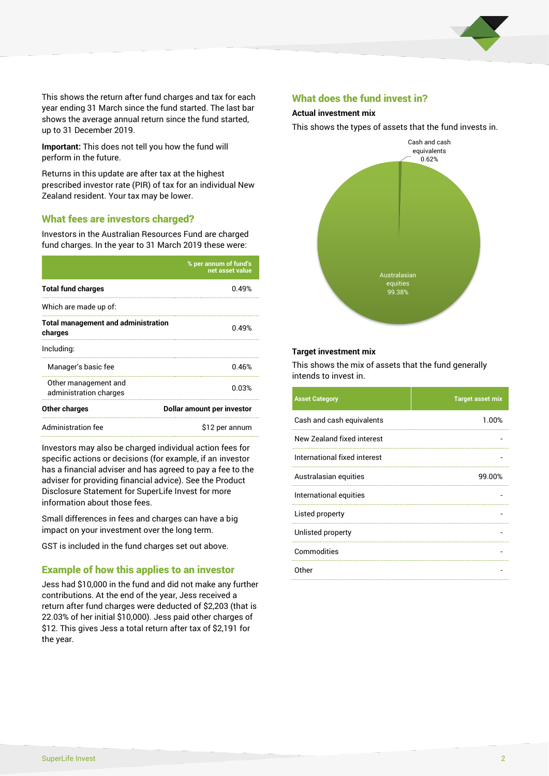

This shows the return after fund charges and tax for each year ending 31 March since the fund started. The last bar shows the average annual return since the fund started, up to 31 December 2019.

**Important:** This does not tell you how the fund will perform in the future.

Returns in this update are after tax at the highest prescribed investor rate (PIR) of tax for an individual New Zealand resident. Your tax may be lower.

#### What fees are investors charged?

Investors in the Australian Resources Fund are charged fund charges. In the year to 31 March 2019 these were:

|                                                       | % per annum of fund's<br>net asset value |  |  |
|-------------------------------------------------------|------------------------------------------|--|--|
| <b>Total fund charges</b>                             | 0.49%                                    |  |  |
| Which are made up of:                                 |                                          |  |  |
| <b>Total management and administration</b><br>charges | 0.49%                                    |  |  |
| Including:                                            |                                          |  |  |
| Manager's basic fee                                   | 0.46%                                    |  |  |
| Other management and<br>administration charges        | 0.03%                                    |  |  |
| Other charges                                         | Dollar amount per investor               |  |  |
| Administration fee                                    | \$12 per annum                           |  |  |

Investors may also be charged individual action fees for specific actions or decisions (for example, if an investor has a financial adviser and has agreed to pay a fee to the adviser for providing financial advice). See the Product Disclosure Statement for SuperLife Invest for more information about those fees.

Small differences in fees and charges can have a big impact on your investment over the long term.

GST is included in the fund charges set out above.

#### Example of how this applies to an investor

Jess had \$10,000 in the fund and did not make any further contributions. At the end of the year, Jess received a return after fund charges were deducted of \$2,203 (that is 22.03% of her initial \$10,000). Jess paid other charges of \$12. This gives Jess a total return after tax of \$2,191 for the year.

#### What does the fund invest in?

#### **Actual investment mix**

This shows the types of assets that the fund invests in.



#### **Target investment mix**

This shows the mix of assets that the fund generally intends to invest in.

| <b>Asset Category</b>        | <b>Target asset mix</b> |
|------------------------------|-------------------------|
| Cash and cash equivalents    | 1.00%                   |
| New Zealand fixed interest   |                         |
| International fixed interest |                         |
| Australasian equities        | 99.00%                  |
| International equities       |                         |
| Listed property              |                         |
| Unlisted property            |                         |
| Commodities                  |                         |
| Other                        |                         |